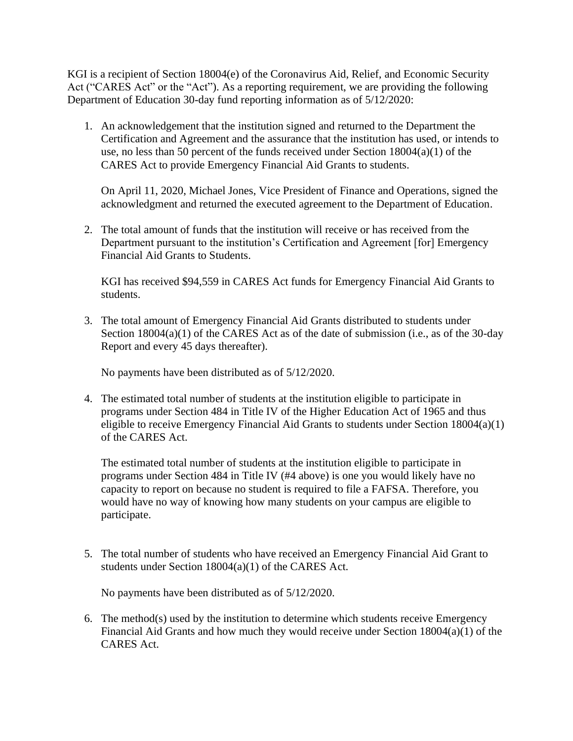KGI is a recipient of Section 18004(e) of the Coronavirus Aid, Relief, and Economic Security Act ("CARES Act" or the "Act"). As a reporting requirement, we are providing the following Department of Education 30-day fund reporting information as of 5/12/2020:

1. An acknowledgement that the institution signed and returned to the Department the Certification and Agreement and the assurance that the institution has used, or intends to use, no less than 50 percent of the funds received under Section 18004(a)(1) of the CARES Act to provide Emergency Financial Aid Grants to students.

On April 11, 2020, Michael Jones, Vice President of Finance and Operations, signed the acknowledgment and returned the executed agreement to the Department of Education.

2. The total amount of funds that the institution will receive or has received from the Department pursuant to the institution's Certification and Agreement [for] Emergency Financial Aid Grants to Students.

KGI has received \$94,559 in CARES Act funds for Emergency Financial Aid Grants to students.

3. The total amount of Emergency Financial Aid Grants distributed to students under Section  $18004(a)(1)$  of the CARES Act as of the date of submission (i.e., as of the 30-day Report and every 45 days thereafter).

No payments have been distributed as of 5/12/2020.

4. The estimated total number of students at the institution eligible to participate in programs under Section 484 in Title IV of the Higher Education Act of 1965 and thus eligible to receive Emergency Financial Aid Grants to students under Section 18004(a)(1) of the CARES Act.

The estimated total number of students at the institution eligible to participate in programs under Section 484 in Title IV (#4 above) is one you would likely have no capacity to report on because no student is required to file a FAFSA. Therefore, you would have no way of knowing how many students on your campus are eligible to participate.

5. The total number of students who have received an Emergency Financial Aid Grant to students under Section 18004(a)(1) of the CARES Act.

No payments have been distributed as of 5/12/2020.

6. The method(s) used by the institution to determine which students receive Emergency Financial Aid Grants and how much they would receive under Section 18004(a)(1) of the CARES Act.